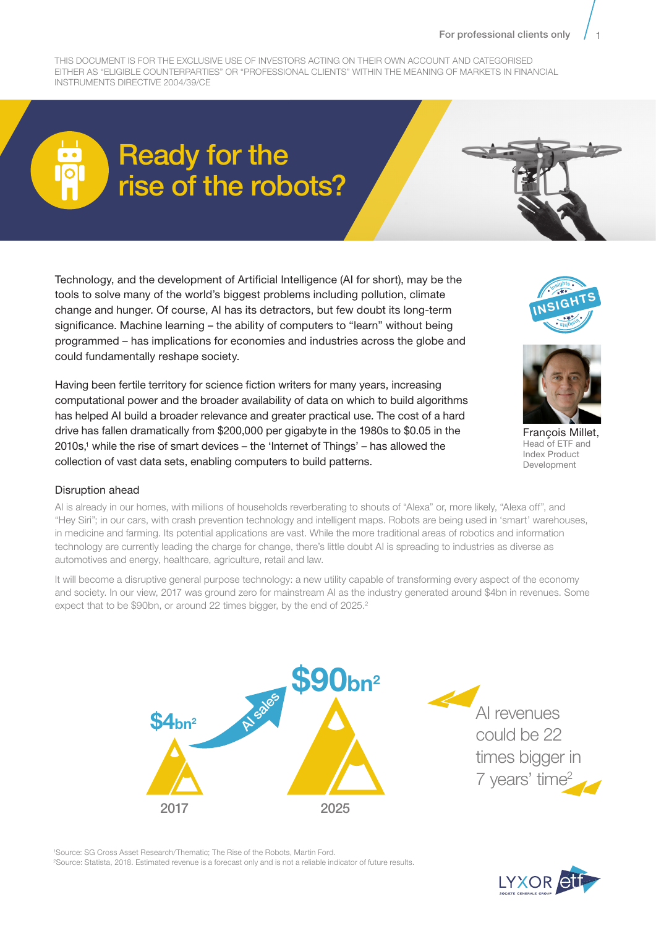THIS DOCUMENT IS FOR THE EXCLUSIVE USE OF INVESTORS ACTING ON THEIR OWN ACCOUNT AND CATEGORISED EITHER AS "ELIGIBLE COUNTERPARTIES" OR "PROFESSIONAL CLIENTS" WITHIN THE MEANING OF MARKETS IN FINANCIAL INSTRUMENTS DIRECTIVE 2004/39/CE

# Ready for the rise of the robots?

Technology, and the development of Artificial Intelligence (AI for short), may be the tools to solve many of the world's biggest problems including pollution, climate change and hunger. Of course, AI has its detractors, but few doubt its long-term significance. Machine learning – the ability of computers to "learn" without being programmed – has implications for economies and industries across the globe and could fundamentally reshape society.

Having been fertile territory for science fiction writers for many years, increasing computational power and the broader availability of data on which to build algorithms has helped AI build a broader relevance and greater practical use. The cost of a hard drive has fallen dramatically from \$200,000 per gigabyte in the 1980s to \$0.05 in the 2010s,1 while the rise of smart devices – the 'Internet of Things' – has allowed the collection of vast data sets, enabling computers to build patterns.





François Millet, Head of ETF and Index Product Development

#### Disruption ahead

AI is already in our homes, with millions of households reverberating to shouts of "Alexa" or, more likely, "Alexa off", and "Hey Siri"; in our cars, with crash prevention technology and intelligent maps. Robots are being used in 'smart' warehouses, in medicine and farming. Its potential applications are vast. While the more traditional areas of robotics and information technology are currently leading the charge for change, there's little doubt AI is spreading to industries as diverse as automotives and energy, healthcare, agriculture, retail and law.

It will become a disruptive general purpose technology: a new utility capable of transforming every aspect of the economy and society. In our view, 2017 was ground zero for mainstream AI as the industry generated around \$4bn in revenues. Some expect that to be \$90bn, or around 22 times bigger, by the end of 2025.<sup>2</sup>



1 Source: SG Cross Asset Research/Thematic; The Rise of the Robots, Martin Ford. 2 Source: Statista, 2018. Estimated revenue is a forecast only and is not a reliable indicator of future results.

LYXOR et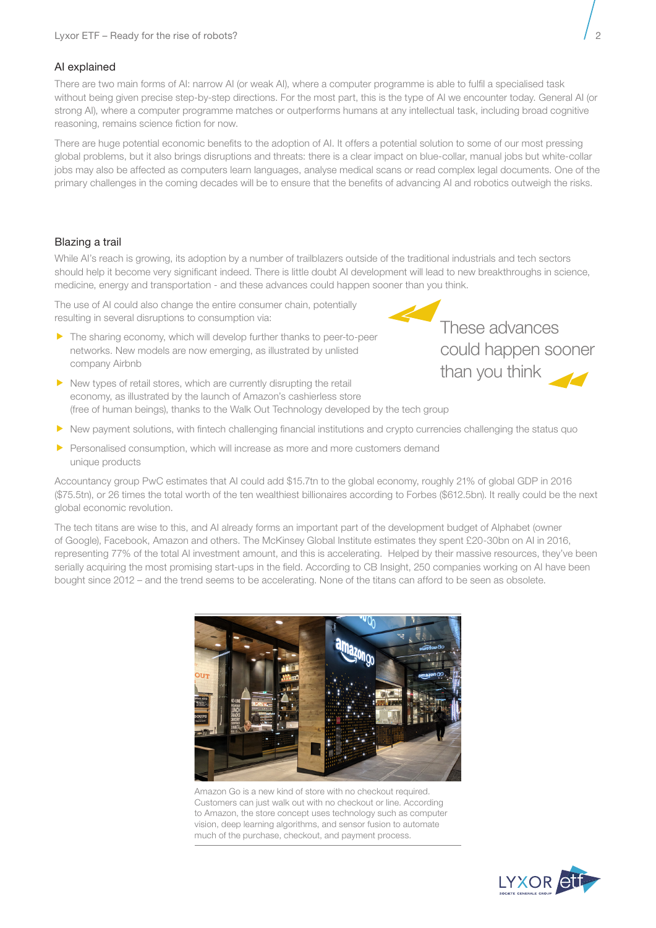

## AI explained

There are two main forms of AI: narrow AI (or weak AI), where a computer programme is able to fulfil a specialised task without being given precise step-by-step directions. For the most part, this is the type of AI we encounter today. General AI (or strong AI), where a computer programme matches or outperforms humans at any intellectual task, including broad cognitive reasoning, remains science fiction for now.

There are huge potential economic benefits to the adoption of AI. It offers a potential solution to some of our most pressing global problems, but it also brings disruptions and threats: there is a clear impact on blue-collar, manual jobs but white-collar jobs may also be affected as computers learn languages, analyse medical scans or read complex legal documents. One of the primary challenges in the coming decades will be to ensure that the benefits of advancing AI and robotics outweigh the risks.

## Blazing a trail

While AI's reach is growing, its adoption by a number of trailblazers outside of the traditional industrials and tech sectors should help it become very significant indeed. There is little doubt AI development will lead to new breakthroughs in science, medicine, energy and transportation - and these advances could happen sooner than you think.

The use of AI could also change the entire consumer chain, potentially resulting in several disruptions to consumption via:

 $\blacktriangleright$  The sharing economy, which will develop further thanks to peer-to-peer networks. New models are now emerging, as illustrated by unlisted company Airbnb



These advances could happen sooner than you think

- $\blacktriangleright$  New types of retail stores, which are currently disrupting the retail economy, as illustrated by the launch of Amazon's cashierless store (free of human beings), thanks to the Walk Out Technology developed by the tech group
- $\blacktriangleright$  New payment solutions, with fintech challenging financial institutions and crypto currencies challenging the status quo
- $\blacktriangleright$  Personalised consumption, which will increase as more and more customers demand unique products

Accountancy group PwC estimates that AI could add \$15.7tn to the global economy, roughly 21% of global GDP in 2016 (\$75.5tn), or 26 times the total worth of the ten wealthiest billionaires according to Forbes (\$612.5bn). It really could be the next global economic revolution.

The tech titans are wise to this, and AI already forms an important part of the development budget of Alphabet (owner of Google), Facebook, Amazon and others. The McKinsey Global Institute estimates they spent £20-30bn on AI in 2016, representing 77% of the total AI investment amount, and this is accelerating. Helped by their massive resources, they've been serially acquiring the most promising start-ups in the field. According to CB Insight, 250 companies working on AI have been bought since 2012 – and the trend seems to be accelerating. None of the titans can afford to be seen as obsolete.



Amazon Go is a new kind of store with no checkout required. Customers can just walk out with no checkout or line. According to Amazon, the store concept uses technology such as computer vision, deep learning algorithms, and sensor fusion to automate much of the purchase, checkout, and payment process.

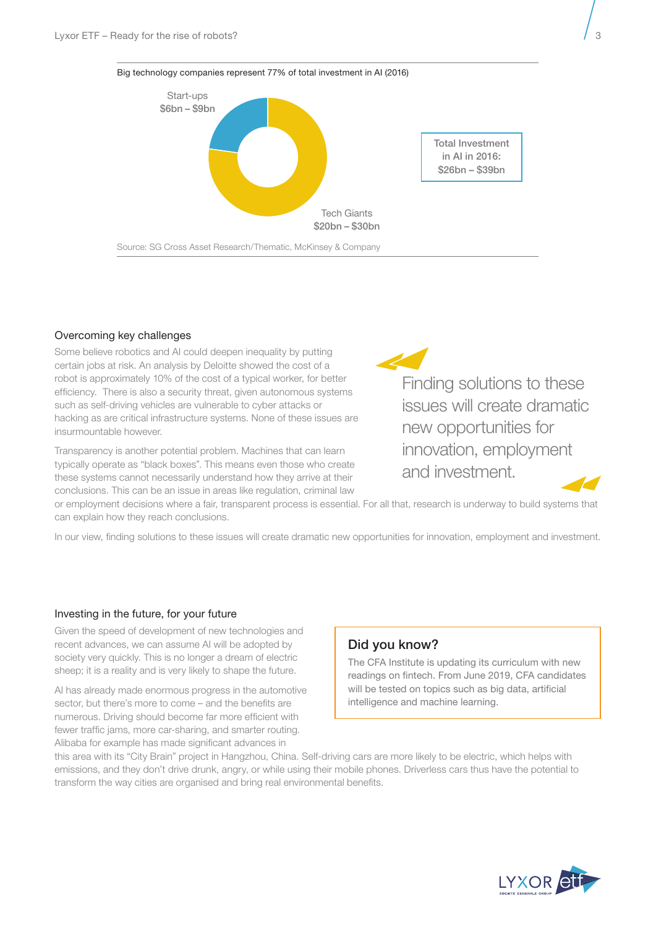



#### Overcoming key challenges

Some believe robotics and AI could deepen inequality by putting certain jobs at risk. An analysis by Deloitte showed the cost of a robot is approximately 10% of the cost of a typical worker, for better efficiency. There is also a security threat, given autonomous systems such as self-driving vehicles are vulnerable to cyber attacks or hacking as are critical infrastructure systems. None of these issues are insurmountable however.

Transparency is another potential problem. Machines that can learn typically operate as "black boxes". This means even those who create these systems cannot necessarily understand how they arrive at their conclusions. This can be an issue in areas like regulation, criminal law

Finding solutions to these issues will create dramatic new opportunities for innovation, employment and investment.

or employment decisions where a fair, transparent process is essential. For all that, research is underway to build systems that can explain how they reach conclusions.

In our view, finding solutions to these issues will create dramatic new opportunities for innovation, employment and investment.

#### Investing in the future, for your future

Given the speed of development of new technologies and recent advances, we can assume AI will be adopted by society very quickly. This is no longer a dream of electric sheep; it is a reality and is very likely to shape the future.

AI has already made enormous progress in the automotive sector, but there's more to come – and the benefits are numerous. Driving should become far more efficient with fewer traffic jams, more car-sharing, and smarter routing. Alibaba for example has made significant advances in

## Did you know?

The CFA Institute is updating its curriculum with new readings on fintech. From June 2019, CFA candidates will be tested on topics such as big data, artificial intelligence and machine learning.

this area with its "City Brain" project in Hangzhou, China. Self-driving cars are more likely to be electric, which helps with emissions, and they don't drive drunk, angry, or while using their mobile phones. Driverless cars thus have the potential to transform the way cities are organised and bring real environmental benefits.